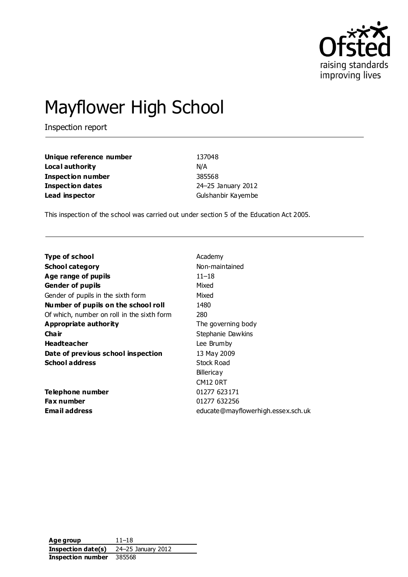

# Mayflower High School

Inspection report

| Unique reference number  | 137048             |
|--------------------------|--------------------|
| Local authority          | N/A                |
| <b>Inspection number</b> | 385568             |
| <b>Inspection dates</b>  | 24-25 January 2012 |
| Lead inspector           | Gulshanbir Kayembe |

This inspection of the school was carried out under section 5 of the Education Act 2005.

| Academy                            |
|------------------------------------|
| Non-maintained                     |
| $11 - 18$                          |
| Mixed                              |
| Mixed                              |
| 1480                               |
| 280                                |
| The governing body                 |
| Stephanie Dawkins                  |
| Lee Brumby                         |
| 13 May 2009                        |
| Stock Road                         |
| <b>Billericay</b>                  |
| <b>CM12 0RT</b>                    |
| 01277 623171                       |
| 01277 632256                       |
| educate@mayflowerhigh.essex.sch.uk |
|                                    |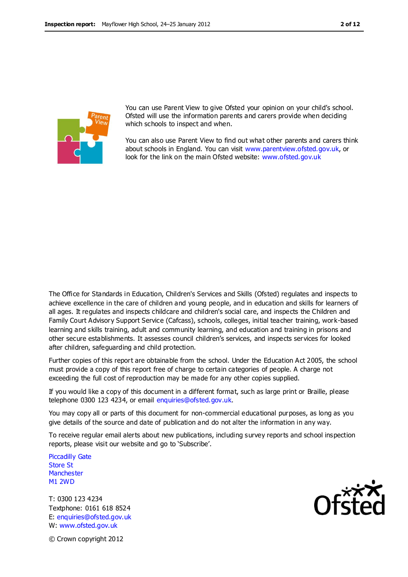

You can use Parent View to give Ofsted your opinion on your child's school. Ofsted will use the information parents and carers provide when deciding which schools to inspect and when.

You can also use Parent View to find out what other parents and carers think about schools in England. You can visit [www.parentview.ofsted.gov.uk,](http://www.parentview.ofsted.gov.uk/) or look for the link on the main Ofsted website: [www.ofsted.gov.uk](http://www.ofsted.gov.uk/)

The Office for Standards in Education, Children's Services and Skills (Ofsted) regulates and inspects to achieve excellence in the care of children and young people, and in education and skills for learners of all ages. It regulates and inspects childcare and children's social care, and inspects the Children and Family Court Advisory Support Service (Cafcass), schools, colleges, initial teacher training, work-based learning and skills training, adult and community learning, and education and training in prisons and other secure establishments. It assesses council children's services, and inspects services for looked after children, safeguarding and child protection.

Further copies of this report are obtainable from the school. Under the Education Act 2005, the school must provide a copy of this report free of charge to certain categories of people. A charge not exceeding the full cost of reproduction may be made for any other copies supplied.

If you would like a copy of this document in a different format, such as large print or Braille, please telephone 0300 123 4234, or email enquiries@ofsted.gov.uk.

You may copy all or parts of this document for non-commercial educational purposes, as long as you give details of the source and date of publication and do not alter the information in any way.

To receive regular email alerts about new publications, including survey reports and school inspection reports, please visit our website and go to 'Subscribe'.

Piccadilly Gate Store St **Manchester** M1 2WD

T: 0300 123 4234 Textphone: 0161 618 8524 E: enquiries@ofsted.gov.uk W: www.ofsted.gov.uk



© Crown copyright 2012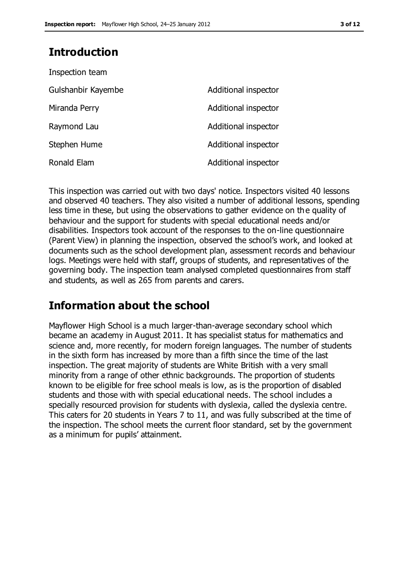# **Introduction**

| Inspection team    |                      |
|--------------------|----------------------|
| Gulshanbir Kayembe | Additional inspector |
| Miranda Perry      | Additional inspector |
| Raymond Lau        | Additional inspector |
| Stephen Hume       | Additional inspector |
| Ronald Elam        | Additional inspector |

This inspection was carried out with two days' notice. Inspectors visited 40 lessons and observed 40 teachers. They also visited a number of additional lessons, spending less time in these, but using the observations to gather evidence on the quality of behaviour and the support for students with special educational needs and/or disabilities. Inspectors took account of the responses to the on-line questionnaire (Parent View) in planning the inspection, observed the school's work, and looked at documents such as the school development plan, assessment records and behaviour logs. Meetings were held with staff, groups of students, and representatives of the governing body. The inspection team analysed completed questionnaires from staff and students, as well as 265 from parents and carers.

# **Information about the school**

Mayflower High School is a much larger-than-average secondary school which became an academy in August 2011. It has specialist status for mathematics and science and, more recently, for modern foreign languages. The number of students in the sixth form has increased by more than a fifth since the time of the last inspection. The great majority of students are White British with a very small minority from a range of other ethnic backgrounds. The proportion of students known to be eligible for free school meals is low, as is the proportion of disabled students and those with with special educational needs. The school includes a specially resourced provision for students with dyslexia, called the dyslexia centre. This caters for 20 students in Years 7 to 11, and was fully subscribed at the time of the inspection. The school meets the current floor standard, set by the government as a minimum for pupils' attainment.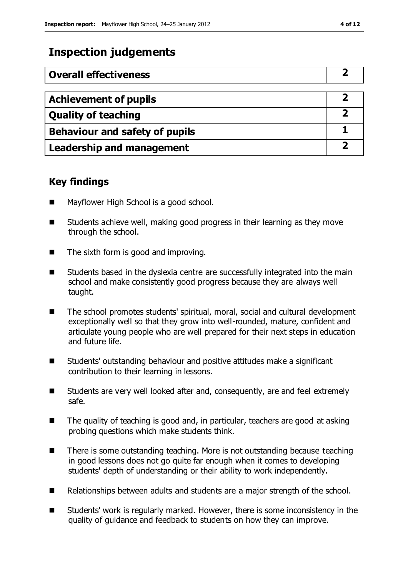# **Inspection judgements**

| <b>Overall effectiveness</b>          |  |
|---------------------------------------|--|
|                                       |  |
| <b>Achievement of pupils</b>          |  |
| <b>Quality of teaching</b>            |  |
| <b>Behaviour and safety of pupils</b> |  |
| <b>Leadership and management</b>      |  |

#### **Key findings**

- Mayflower High School is a good school.
- Students achieve well, making good progress in their learning as they move through the school.
- The sixth form is good and improving.
- Students based in the dyslexia centre are successfully integrated into the main school and make consistently good progress because they are always well taught.
- The school promotes students' spiritual, moral, social and cultural development exceptionally well so that they grow into well-rounded, mature, confident and articulate young people who are well prepared for their next steps in education and future life.
- Students' outstanding behaviour and positive attitudes make a significant contribution to their learning in lessons.
- Students are very well looked after and, consequently, are and feel extremely safe.
- The quality of teaching is good and, in particular, teachers are good at asking probing questions which make students think.
- There is some outstanding teaching. More is not outstanding because teaching in good lessons does not go quite far enough when it comes to developing students' depth of understanding or their ability to work independently.
- Relationships between adults and students are a major strength of the school.
- Students' work is regularly marked. However, there is some inconsistency in the quality of guidance and feedback to students on how they can improve.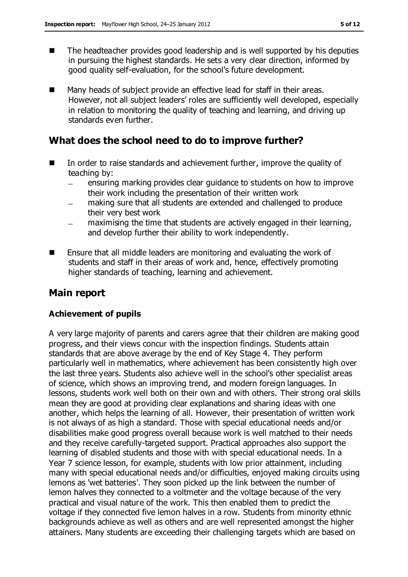- The headteacher provides good leadership and is well supported by his deputies in pursuing the highest standards. He sets a very clear direction, informed by good quality self-evaluation, for the school's future development.
- Many heads of subject provide an effective lead for staff in their areas. However, not all subject leaders' roles are sufficiently well developed, especially in relation to monitoring the quality of teaching and learning, and driving up standards even further.

#### **What does the school need to do to improve further?**

- In order to raise standards and achievement further, improve the quality of teaching by:
	- ensuring marking provides clear guidance to students on how to improve their work including the presentation of their written work
	- making sure that all students are extended and challenged to produce their very best work
	- maximising the time that students are actively engaged in their learning, and develop further their ability to work independently.
- Ensure that all middle leaders are monitoring and evaluating the work of students and staff in their areas of work and, hence, effectively promoting higher standards of teaching, learning and achievement.

### **Main report**

#### **Achievement of pupils**

A very large majority of parents and carers agree that their children are making good progress, and their views concur with the inspection findings. Students attain standards that are above average by the end of Key Stage 4. They perform particularly well in mathematics, where achievement has been consistently high over the last three years. Students also achieve well in the school's other specialist areas of science, which shows an improving trend, and modern foreign languages. In lessons, students work well both on their own and with others. Their strong oral skills mean they are good at providing clear explanations and sharing ideas with one another, which helps the learning of all. However, their presentation of written work is not always of as high a standard. Those with special educational needs and/or disabilities make good progress overall because work is well matched to their needs and they receive carefully-targeted support. Practical approaches also support the learning of disabled students and those with with special educational needs. In a Year 7 science lesson, for example, students with low prior attainment, including many with special educational needs and/or difficulties, enjoyed making circuits using lemons as 'wet batteries'. They soon picked up the link between the number of lemon halves they connected to a voltmeter and the voltage because of the very practical and visual nature of the work. This then enabled them to predict the voltage if they connected five lemon halves in a row. Students from minority ethnic backgrounds achieve as well as others and are well represented amongst the higher attainers. Many students are exceeding their challenging targets which are based on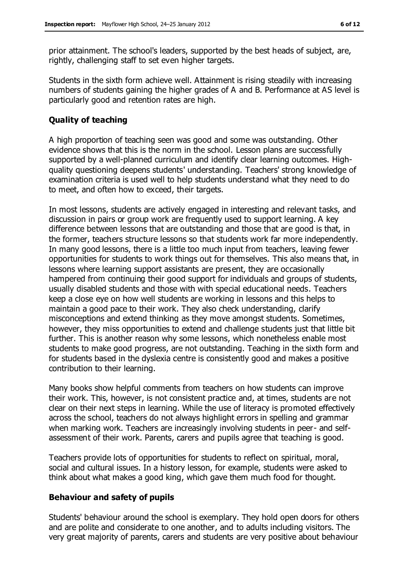prior attainment. The school's leaders, supported by the best heads of subject, are, rightly, challenging staff to set even higher targets.

Students in the sixth form achieve well. Attainment is rising steadily with increasing numbers of students gaining the higher grades of A and B. Performance at AS level is particularly good and retention rates are high.

#### **Quality of teaching**

A high proportion of teaching seen was good and some was outstanding. Other evidence shows that this is the norm in the school. Lesson plans are successfully supported by a well-planned curriculum and identify clear learning outcomes. Highquality questioning deepens students' understanding. Teachers' strong knowledge of examination criteria is used well to help students understand what they need to do to meet, and often how to exceed, their targets.

In most lessons, students are actively engaged in interesting and relevant tasks, and discussion in pairs or group work are frequently used to support learning. A key difference between lessons that are outstanding and those that are good is that, in the former, teachers structure lessons so that students work far more independently. In many good lessons, there is a little too much input from teachers, leaving fewer opportunities for students to work things out for themselves. This also means that, in lessons where learning support assistants are present, they are occasionally hampered from continuing their good support for individuals and groups of students, usually disabled students and those with with special educational needs. Teachers keep a close eye on how well students are working in lessons and this helps to maintain a good pace to their work. They also check understanding, clarify misconceptions and extend thinking as they move amongst students. Sometimes, however, they miss opportunities to extend and challenge students just that little bit further. This is another reason why some lessons, which nonetheless enable most students to make good progress, are not outstanding. Teaching in the sixth form and for students based in the dyslexia centre is consistently good and makes a positive contribution to their learning.

Many books show helpful comments from teachers on how students can improve their work. This, however, is not consistent practice and, at times, students are not clear on their next steps in learning. While the use of literacy is promoted effectively across the school, teachers do not always highlight errors in spelling and grammar when marking work. Teachers are increasingly involving students in peer- and selfassessment of their work. Parents, carers and pupils agree that teaching is good.

Teachers provide lots of opportunities for students to reflect on spiritual, moral, social and cultural issues. In a history lesson, for example, students were asked to think about what makes a good king, which gave them much food for thought.

#### **Behaviour and safety of pupils**

Students' behaviour around the school is exemplary. They hold open doors for others and are polite and considerate to one another, and to adults including visitors. The very great majority of parents, carers and students are very positive about behaviour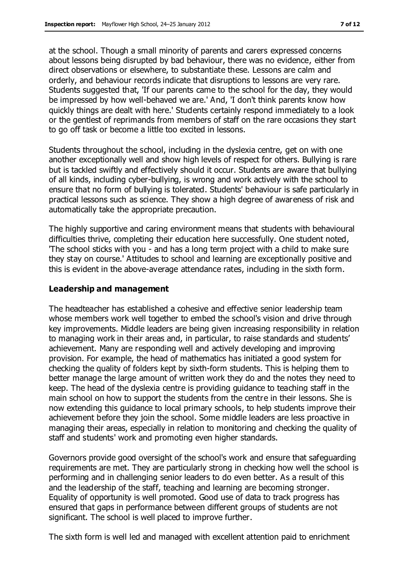at the school. Though a small minority of parents and carers expressed concerns about lessons being disrupted by bad behaviour, there was no evidence, either from direct observations or elsewhere, to substantiate these. Lessons are calm and orderly, and behaviour records indicate that disruptions to lessons are very rare. Students suggested that, 'If our parents came to the school for the day, they would be impressed by how well-behaved we are.' And, 'I don't think parents know how quickly things are dealt with here.' Students certainly respond immediately to a look or the gentlest of reprimands from members of staff on the rare occasions they start to go off task or become a little too excited in lessons.

Students throughout the school, including in the dyslexia centre, get on with one another exceptionally well and show high levels of respect for others. Bullying is rare but is tackled swiftly and effectively should it occur. Students are aware that bullying of all kinds, including cyber-bullying, is wrong and work actively with the school to ensure that no form of bullying is tolerated. Students' behaviour is safe particularly in practical lessons such as science. They show a high degree of awareness of risk and automatically take the appropriate precaution.

The highly supportive and caring environment means that students with behavioural difficulties thrive, completing their education here successfully. One student noted, 'The school sticks with you - and has a long term project with a child to make sure they stay on course.' Attitudes to school and learning are exceptionally positive and this is evident in the above-average attendance rates, including in the sixth form.

#### **Leadership and management**

The headteacher has established a cohesive and effective senior leadership team whose members work well together to embed the school's vision and drive through key improvements. Middle leaders are being given increasing responsibility in relation to managing work in their areas and, in particular, to raise standards and students' achievement. Many are responding well and actively developing and improving provision. For example, the head of mathematics has initiated a good system for checking the quality of folders kept by sixth-form students. This is helping them to better manage the large amount of written work they do and the notes they need to keep. The head of the dyslexia centre is providing guidance to teaching staff in the main school on how to support the students from the centre in their lessons. She is now extending this guidance to local primary schools, to help students improve their achievement before they join the school. Some middle leaders are less proactive in managing their areas, especially in relation to monitoring and checking the quality of staff and students' work and promoting even higher standards.

Governors provide good oversight of the school's work and ensure that safeguarding requirements are met. They are particularly strong in checking how well the school is performing and in challenging senior leaders to do even better. As a result of this and the leadership of the staff, teaching and learning are becoming stronger. Equality of opportunity is well promoted. Good use of data to track progress has ensured that gaps in performance between different groups of students are not significant. The school is well placed to improve further.

The sixth form is well led and managed with excellent attention paid to enrichment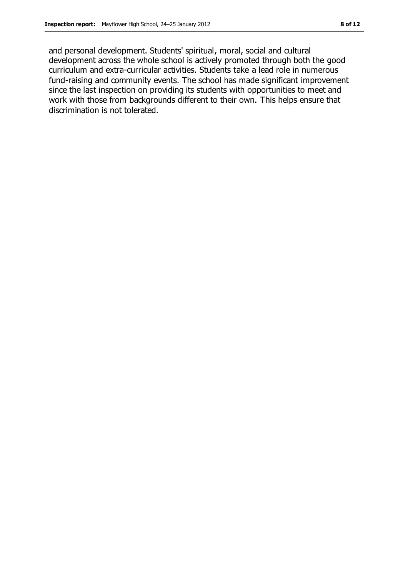and personal development. Students' spiritual, moral, social and cultural development across the whole school is actively promoted through both the good curriculum and extra-curricular activities. Students take a lead role in numerous fund-raising and community events. The school has made significant improvement since the last inspection on providing its students with opportunities to meet and work with those from backgrounds different to their own. This helps ensure that discrimination is not tolerated.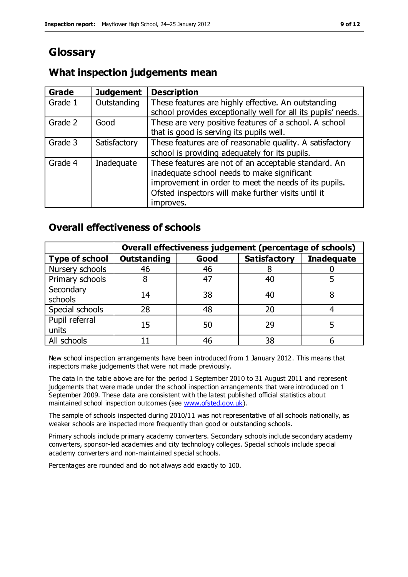# **Glossary**

#### **What inspection judgements mean**

| <b>Grade</b> | <b>Judgement</b> | <b>Description</b>                                                                                                   |
|--------------|------------------|----------------------------------------------------------------------------------------------------------------------|
| Grade 1      | Outstanding      | These features are highly effective. An outstanding<br>school provides exceptionally well for all its pupils' needs. |
|              |                  |                                                                                                                      |
| Grade 2      | Good             | These are very positive features of a school. A school                                                               |
|              |                  | that is good is serving its pupils well.                                                                             |
| Grade 3      | Satisfactory     | These features are of reasonable quality. A satisfactory                                                             |
|              |                  | school is providing adequately for its pupils.                                                                       |
| Grade 4      | Inadequate       | These features are not of an acceptable standard. An                                                                 |
|              |                  | inadequate school needs to make significant                                                                          |
|              |                  | improvement in order to meet the needs of its pupils.                                                                |
|              |                  | Ofsted inspectors will make further visits until it                                                                  |
|              |                  | improves.                                                                                                            |

#### **Overall effectiveness of schools**

|                         | Overall effectiveness judgement (percentage of schools) |      |                     |                   |
|-------------------------|---------------------------------------------------------|------|---------------------|-------------------|
| <b>Type of school</b>   | <b>Outstanding</b>                                      | Good | <b>Satisfactory</b> | <b>Inadequate</b> |
| Nursery schools         | 46                                                      | 46   |                     |                   |
| Primary schools         |                                                         | 47   | 40                  |                   |
| Secondary<br>schools    | 14                                                      | 38   | 40                  |                   |
| Special schools         | 28                                                      | 48   | 20                  |                   |
| Pupil referral<br>units | 15                                                      | 50   | 29                  |                   |
| All schools             |                                                         | 46   | 38                  |                   |

New school inspection arrangements have been introduced from 1 January 2012. This means that inspectors make judgements that were not made previously.

The data in the table above are for the period 1 September 2010 to 31 August 2011 and represent judgements that were made under the school inspection arrangements that were introduced on 1 September 2009. These data are consistent with the latest published official statistics about maintained school inspection outcomes (see [www.ofsted.gov.uk\)](http://www.ofsted.gov.uk/).

The sample of schools inspected during 2010/11 was not representative of all schools nationally, as weaker schools are inspected more frequently than good or outstanding schools.

Primary schools include primary academy converters. Secondary schools include secondary academy converters, sponsor-led academies and city technology colleges. Special schools include special academy converters and non-maintained special schools.

Percentages are rounded and do not always add exactly to 100.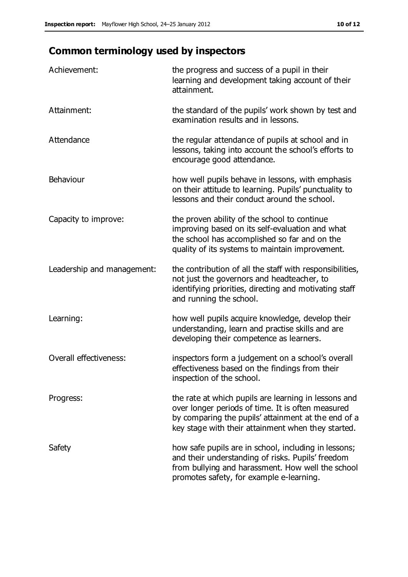# **Common terminology used by inspectors**

| Achievement:               | the progress and success of a pupil in their<br>learning and development taking account of their<br>attainment.                                                                                                        |
|----------------------------|------------------------------------------------------------------------------------------------------------------------------------------------------------------------------------------------------------------------|
| Attainment:                | the standard of the pupils' work shown by test and<br>examination results and in lessons.                                                                                                                              |
| Attendance                 | the regular attendance of pupils at school and in<br>lessons, taking into account the school's efforts to<br>encourage good attendance.                                                                                |
| Behaviour                  | how well pupils behave in lessons, with emphasis<br>on their attitude to learning. Pupils' punctuality to<br>lessons and their conduct around the school.                                                              |
| Capacity to improve:       | the proven ability of the school to continue<br>improving based on its self-evaluation and what<br>the school has accomplished so far and on the<br>quality of its systems to maintain improvement.                    |
| Leadership and management: | the contribution of all the staff with responsibilities,<br>not just the governors and headteacher, to<br>identifying priorities, directing and motivating staff<br>and running the school.                            |
| Learning:                  | how well pupils acquire knowledge, develop their<br>understanding, learn and practise skills and are<br>developing their competence as learners.                                                                       |
| Overall effectiveness:     | inspectors form a judgement on a school's overall<br>effectiveness based on the findings from their<br>inspection of the school.                                                                                       |
| Progress:                  | the rate at which pupils are learning in lessons and<br>over longer periods of time. It is often measured<br>by comparing the pupils' attainment at the end of a<br>key stage with their attainment when they started. |
| Safety                     | how safe pupils are in school, including in lessons;<br>and their understanding of risks. Pupils' freedom<br>from bullying and harassment. How well the school<br>promotes safety, for example e-learning.             |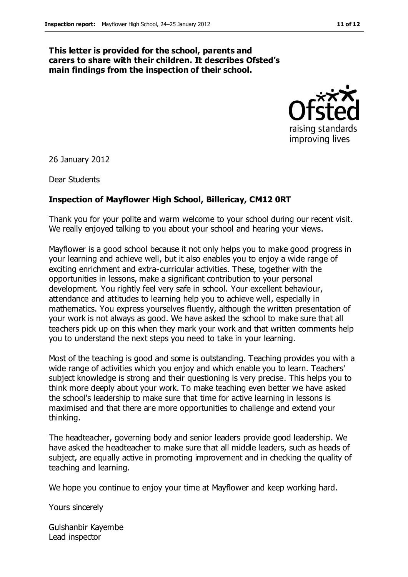#### **This letter is provided for the school, parents and carers to share with their children. It describes Ofsted's main findings from the inspection of their school.**



26 January 2012

Dear Students

#### **Inspection of Mayflower High School, Billericay, CM12 0RT**

Thank you for your polite and warm welcome to your school during our recent visit. We really enjoyed talking to you about your school and hearing your views.

Mayflower is a good school because it not only helps you to make good progress in your learning and achieve well, but it also enables you to enjoy a wide range of exciting enrichment and extra-curricular activities. These, together with the opportunities in lessons, make a significant contribution to your personal development. You rightly feel very safe in school. Your excellent behaviour, attendance and attitudes to learning help you to achieve well, especially in mathematics. You express yourselves fluently, although the written presentation of your work is not always as good. We have asked the school to make sure that all teachers pick up on this when they mark your work and that written comments help you to understand the next steps you need to take in your learning.

Most of the teaching is good and some is outstanding. Teaching provides you with a wide range of activities which you enjoy and which enable you to learn. Teachers' subject knowledge is strong and their questioning is very precise. This helps you to think more deeply about your work. To make teaching even better we have asked the school's leadership to make sure that time for active learning in lessons is maximised and that there are more opportunities to challenge and extend your thinking.

The headteacher, governing body and senior leaders provide good leadership. We have asked the headteacher to make sure that all middle leaders, such as heads of subject, are equally active in promoting improvement and in checking the quality of teaching and learning.

We hope you continue to enjoy your time at Mayflower and keep working hard.

Yours sincerely

Gulshanbir Kayembe Lead inspector